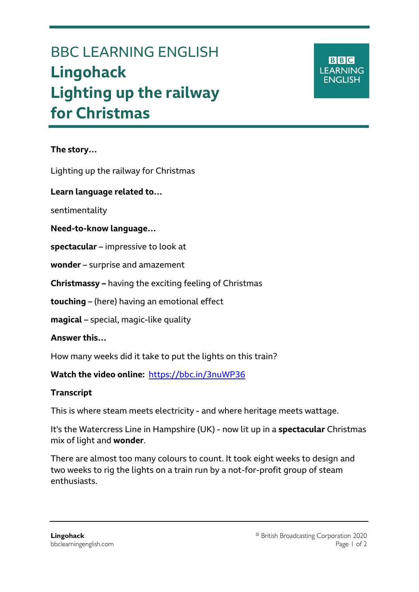# BBC LEARNING ENGLISH **Lingohack Lighting up the railway for Christmas**

#### **The story…**

Ξ

Lighting up the railway for Christmas

**Learn language related to…**

sentimentality

#### **Need-to-know language…**

**spectacular** – impressive to look at

**wonder** – surprise and amazement

**Christmassy –** having the exciting feeling of Christmas

**touching** – (here) having an emotional effect

**magical** – special, magic-like quality

**Answer this…**

How many weeks did it take to put the lights on this train?

**Watch the video online:** <https://bbc.in/3nuWP36>

## **Transcript**

This is where steam meets electricity - and where heritage meets wattage.

It's the Watercress Line in Hampshire (UK) - now lit up in a **spectacular** Christmas mix of light and **wonder**.

There are almost too many colours to count. It took eight weeks to design and two weeks to rig the lights on a train run by a not-for-profit group of steam enthusiasts.